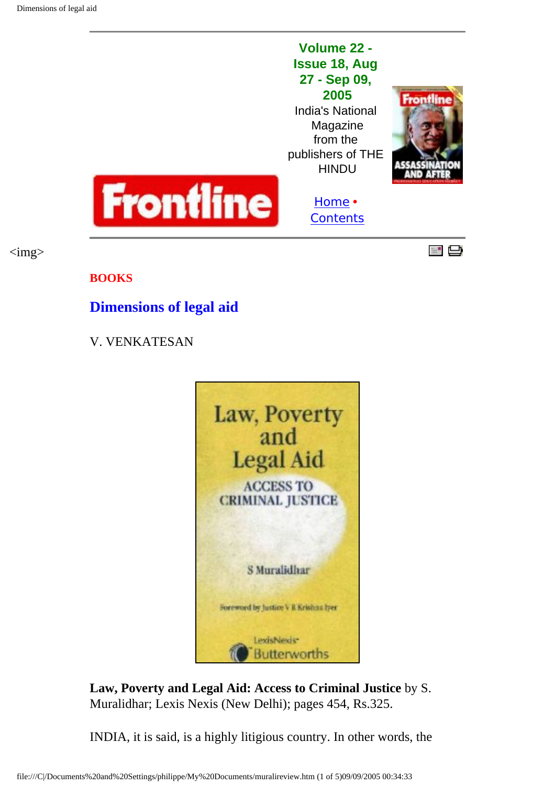$\langle \text{img} \rangle$ 

## **Volume 22 - Issue 18, Aug 27 - Sep 09, 2005** India's National

Magazine from the publishers of THE **HINDU** 

[Home](http://www.flonnet.com/index.htm) **•**





**[Contents](http://www.flonnet.com/fl2218/index.htm)** 



**BOOKS**

## **Dimensions of legal aid**

## V. VENKATESAN



**Law, Poverty and Legal Aid: Access to Criminal Justice** by S. Muralidhar; Lexis Nexis (New Delhi); pages 454, Rs.325.

INDIA, it is said, is a highly litigious country. In other words, the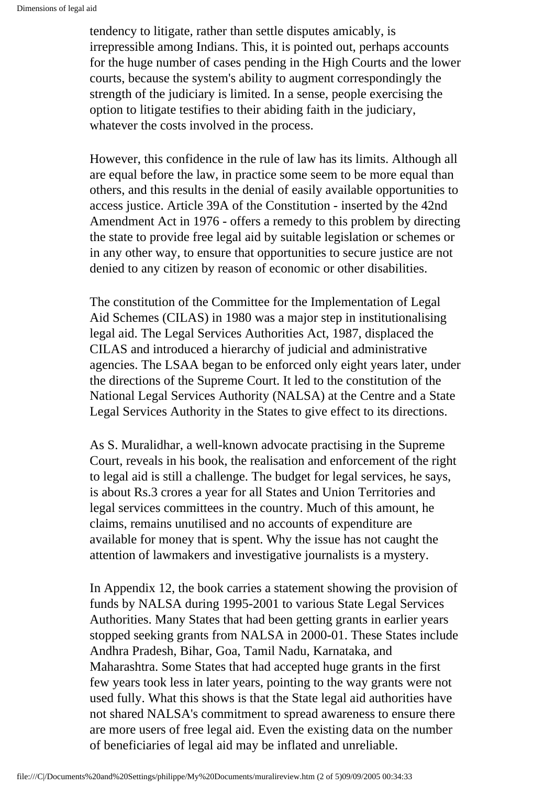tendency to litigate, rather than settle disputes amicably, is irrepressible among Indians. This, it is pointed out, perhaps accounts for the huge number of cases pending in the High Courts and the lower courts, because the system's ability to augment correspondingly the strength of the judiciary is limited. In a sense, people exercising the option to litigate testifies to their abiding faith in the judiciary, whatever the costs involved in the process.

However, this confidence in the rule of law has its limits. Although all are equal before the law, in practice some seem to be more equal than others, and this results in the denial of easily available opportunities to access justice. Article 39A of the Constitution - inserted by the 42nd Amendment Act in 1976 - offers a remedy to this problem by directing the state to provide free legal aid by suitable legislation or schemes or in any other way, to ensure that opportunities to secure justice are not denied to any citizen by reason of economic or other disabilities.

The constitution of the Committee for the Implementation of Legal Aid Schemes (CILAS) in 1980 was a major step in institutionalising legal aid. The Legal Services Authorities Act, 1987, displaced the CILAS and introduced a hierarchy of judicial and administrative agencies. The LSAA began to be enforced only eight years later, under the directions of the Supreme Court. It led to the constitution of the National Legal Services Authority (NALSA) at the Centre and a State Legal Services Authority in the States to give effect to its directions.

As S. Muralidhar, a well-known advocate practising in the Supreme Court, reveals in his book, the realisation and enforcement of the right to legal aid is still a challenge. The budget for legal services, he says, is about Rs.3 crores a year for all States and Union Territories and legal services committees in the country. Much of this amount, he claims, remains unutilised and no accounts of expenditure are available for money that is spent. Why the issue has not caught the attention of lawmakers and investigative journalists is a mystery.

In Appendix 12, the book carries a statement showing the provision of funds by NALSA during 1995-2001 to various State Legal Services Authorities. Many States that had been getting grants in earlier years stopped seeking grants from NALSA in 2000-01. These States include Andhra Pradesh, Bihar, Goa, Tamil Nadu, Karnataka, and Maharashtra. Some States that had accepted huge grants in the first few years took less in later years, pointing to the way grants were not used fully. What this shows is that the State legal aid authorities have not shared NALSA's commitment to spread awareness to ensure there are more users of free legal aid. Even the existing data on the number of beneficiaries of legal aid may be inflated and unreliable.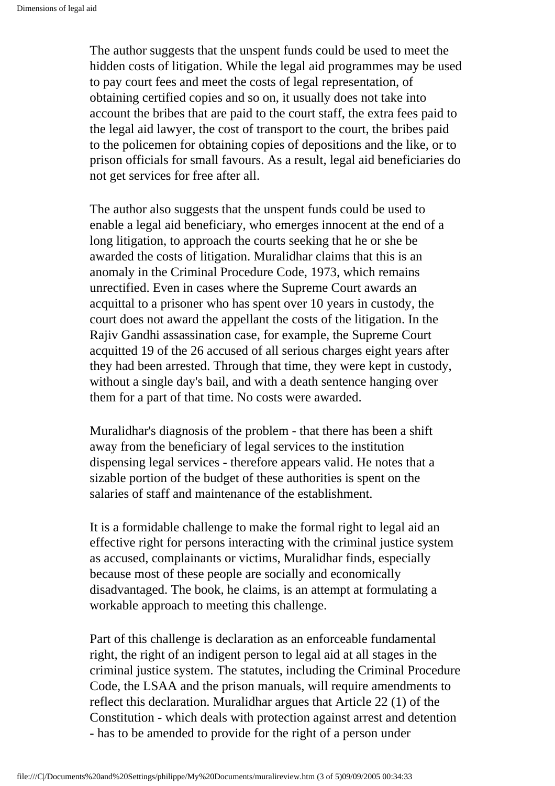The author suggests that the unspent funds could be used to meet the hidden costs of litigation. While the legal aid programmes may be used to pay court fees and meet the costs of legal representation, of obtaining certified copies and so on, it usually does not take into account the bribes that are paid to the court staff, the extra fees paid to the legal aid lawyer, the cost of transport to the court, the bribes paid to the policemen for obtaining copies of depositions and the like, or to prison officials for small favours. As a result, legal aid beneficiaries do not get services for free after all.

The author also suggests that the unspent funds could be used to enable a legal aid beneficiary, who emerges innocent at the end of a long litigation, to approach the courts seeking that he or she be awarded the costs of litigation. Muralidhar claims that this is an anomaly in the Criminal Procedure Code, 1973, which remains unrectified. Even in cases where the Supreme Court awards an acquittal to a prisoner who has spent over 10 years in custody, the court does not award the appellant the costs of the litigation. In the Rajiv Gandhi assassination case, for example, the Supreme Court acquitted 19 of the 26 accused of all serious charges eight years after they had been arrested. Through that time, they were kept in custody, without a single day's bail, and with a death sentence hanging over them for a part of that time. No costs were awarded.

Muralidhar's diagnosis of the problem - that there has been a shift away from the beneficiary of legal services to the institution dispensing legal services - therefore appears valid. He notes that a sizable portion of the budget of these authorities is spent on the salaries of staff and maintenance of the establishment.

It is a formidable challenge to make the formal right to legal aid an effective right for persons interacting with the criminal justice system as accused, complainants or victims, Muralidhar finds, especially because most of these people are socially and economically disadvantaged. The book, he claims, is an attempt at formulating a workable approach to meeting this challenge.

Part of this challenge is declaration as an enforceable fundamental right, the right of an indigent person to legal aid at all stages in the criminal justice system. The statutes, including the Criminal Procedure Code, the LSAA and the prison manuals, will require amendments to reflect this declaration. Muralidhar argues that Article 22 (1) of the Constitution - which deals with protection against arrest and detention - has to be amended to provide for the right of a person under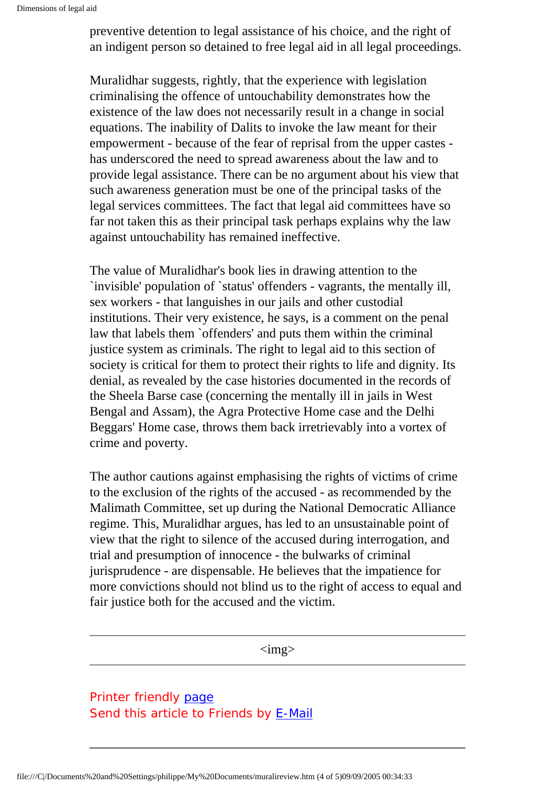preventive detention to legal assistance of his choice, and the right of an indigent person so detained to free legal aid in all legal proceedings.

Muralidhar suggests, rightly, that the experience with legislation criminalising the offence of untouchability demonstrates how the existence of the law does not necessarily result in a change in social equations. The inability of Dalits to invoke the law meant for their empowerment - because of the fear of reprisal from the upper castes has underscored the need to spread awareness about the law and to provide legal assistance. There can be no argument about his view that such awareness generation must be one of the principal tasks of the legal services committees. The fact that legal aid committees have so far not taken this as their principal task perhaps explains why the law against untouchability has remained ineffective.

The value of Muralidhar's book lies in drawing attention to the `invisible' population of `status' offenders - vagrants, the mentally ill, sex workers - that languishes in our jails and other custodial institutions. Their very existence, he says, is a comment on the penal law that labels them `offenders' and puts them within the criminal justice system as criminals. The right to legal aid to this section of society is critical for them to protect their rights to life and dignity. Its denial, as revealed by the case histories documented in the records of the Sheela Barse case (concerning the mentally ill in jails in West Bengal and Assam), the Agra Protective Home case and the Delhi Beggars' Home case, throws them back irretrievably into a vortex of crime and poverty.

The author cautions against emphasising the rights of victims of crime to the exclusion of the rights of the accused - as recommended by the Malimath Committee, set up during the National Democratic Alliance regime. This, Muralidhar argues, has led to an unsustainable point of view that the right to silence of the accused during interrogation, and trial and presumption of innocence - the bulwarks of criminal jurisprudence - are dispensable. He believes that the impatience for more convictions should not blind us to the right of access to equal and fair justice both for the accused and the victim.

 $\langle \text{img} \rangle$ 

Printer friendly [page](http://www.hinduonnet.com/thehindu/thscrip/print.pl?file=20050909000907500.htm&date=fl2218/&prd=fline&) Send this article to Friends by [E-Mail](http://www.hinduonnet.com/thehindu/thscrip/pgemail.pl?date=fl2218/&prd=fline&)